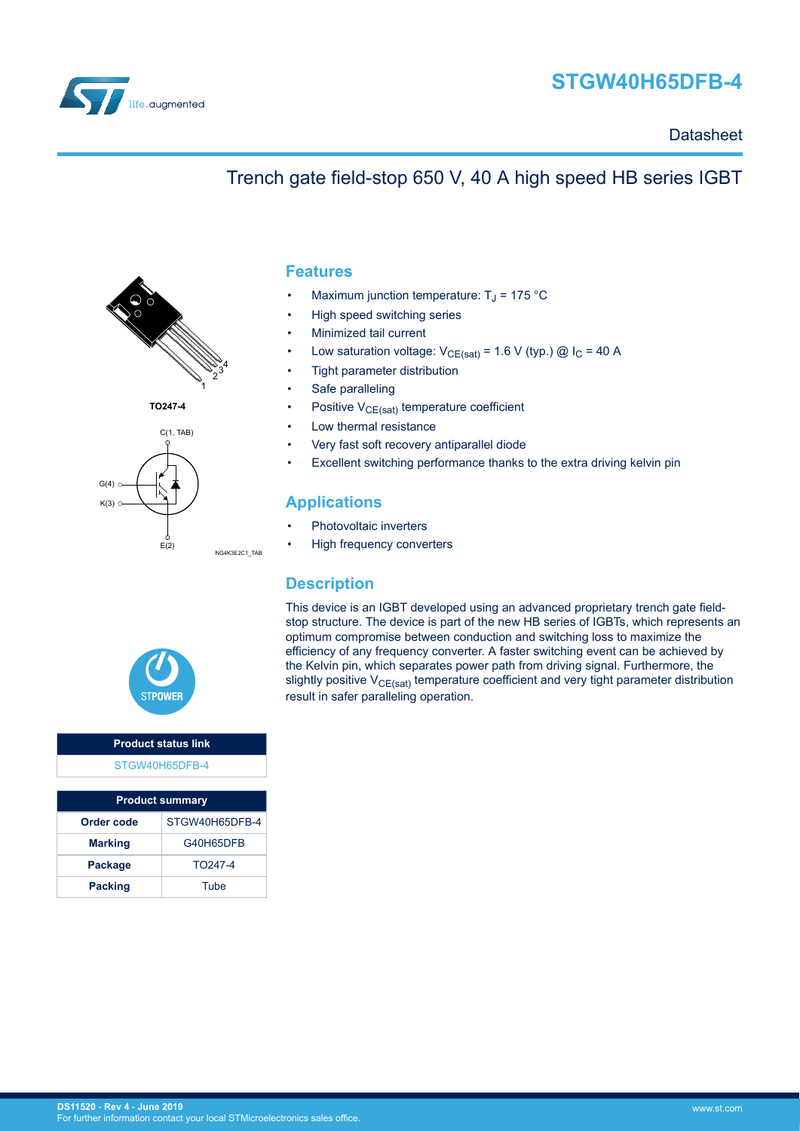

# **STGW40H65DFB-4**

### **Datasheet**

### Trench gate field-stop 650 V, 40 A high speed HB series IGBT



**TO247-4**





#### **Product status link** [STGW40H65DFB-4](https://www.st.com/en/product/stgw40h65dfb-4)

| <b>Product summary</b> |                     |  |  |  |
|------------------------|---------------------|--|--|--|
| Order code             | STGW40H65DFB-4      |  |  |  |
| <b>Marking</b>         | G40H65DFB           |  |  |  |
| Package                | TO <sub>247-4</sub> |  |  |  |
| <b>Packing</b>         | Tube                |  |  |  |

#### **Features**

- Maximum junction temperature:  $T_J$  = 175 °C
- High speed switching series
- Minimized tail current
- Low saturation voltage:  $V_{CE(sat)} = 1.6 V$  (typ.) @  $I_C = 40 A$
- Tight parameter distribution
- Safe paralleling
- Positive  $V_{CE(sat)}$  temperature coefficient
- Low thermal resistance
- Very fast soft recovery antiparallel diode
- Excellent switching performance thanks to the extra driving kelvin pin

### **Applications**

- Photovoltaic inverters
- High frequency converters

#### **Description**

This device is an IGBT developed using an advanced proprietary trench gate fieldstop structure. The device is part of the new HB series of IGBTs, which represents an optimum compromise between conduction and switching loss to maximize the efficiency of any frequency converter. A faster switching event can be achieved by the Kelvin pin, which separates power path from driving signal. Furthermore, the slightly positive  $V_{CE(sat)}$  temperature coefficient and very tight parameter distribution result in safer paralleling operation.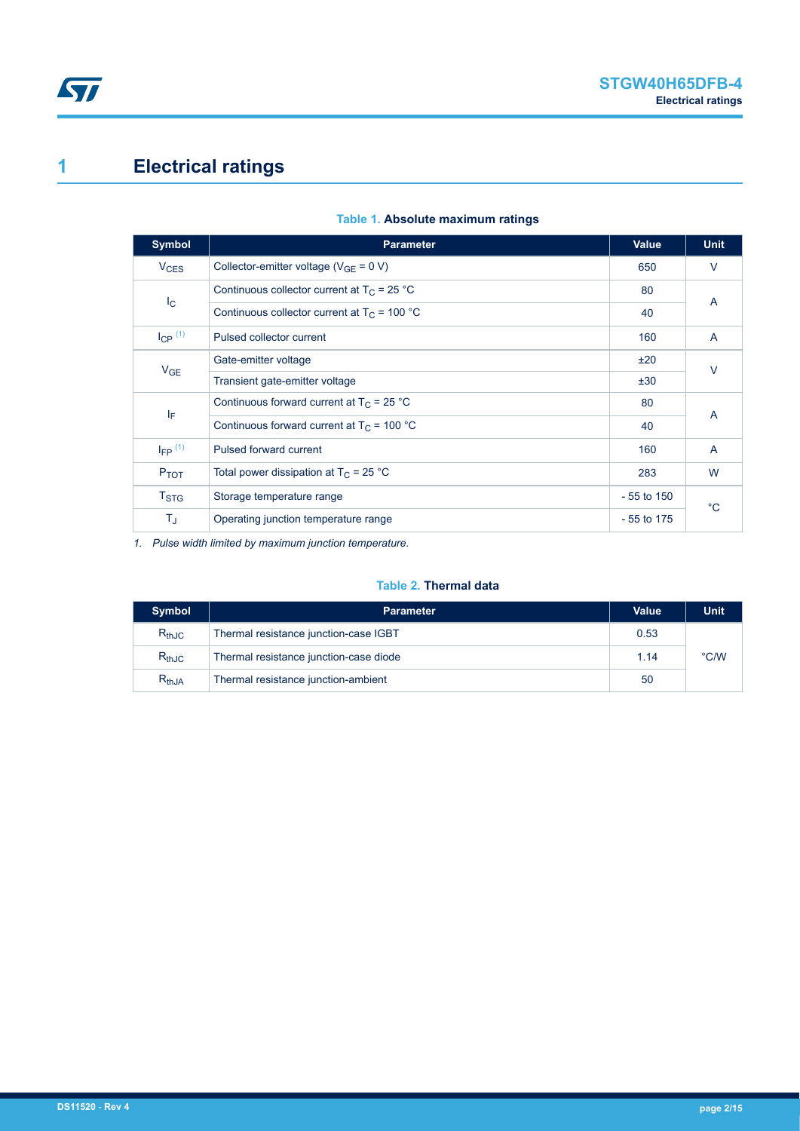# <span id="page-1-0"></span>**1 Electrical ratings**

| <b>Symbol</b>          | <b>Parameter</b>                               | <b>Value</b> | <b>Unit</b> |
|------------------------|------------------------------------------------|--------------|-------------|
| <b>V<sub>CES</sub></b> | Collector-emitter voltage ( $V_{GF} = 0 V$ )   | 650          | $\vee$      |
|                        | Continuous collector current at $T_C = 25 °C$  | 80           |             |
| $I_{\rm C}$            | Continuous collector current at $T_c$ = 100 °C | 40           | A           |
| $I_{CP}$ $(1)$         | Pulsed collector current                       | 160          | A           |
| V <sub>GE</sub>        | Gate-emitter voltage                           | ±20          | $\vee$      |
|                        | Transient gate-emitter voltage                 | ±30          |             |
|                        | Continuous forward current at $T_C = 25 °C$    | 80<br>A      |             |
| ΙF                     | Continuous forward current at $T_C$ = 100 °C   | 40           |             |
| $I_{FP}$ (1)           | Pulsed forward current                         | 160          | A           |
| $P_{TOT}$              | Total power dissipation at $T_C = 25$ °C       | 283          | W           |
| $T_{\mathrm{STG}}$     | Storage temperature range                      | $-55$ to 150 | $^{\circ}C$ |
| $T_{\sf J}$            | Operating junction temperature range           | $-55$ to 175 |             |

#### **Table 1. Absolute maximum ratings**

*1. Pulse width limited by maximum junction temperature.*

#### **Table 2. Thermal data**

| <b>Symbol</b> | <b>Parameter</b>                       | Value | <b>Unit</b> |
|---------------|----------------------------------------|-------|-------------|
| $R_{thJC}$    | Thermal resistance junction-case IGBT  | 0.53  |             |
| $R_{thJC}$    | Thermal resistance junction-case diode | 1.14  | °C/W        |
| $R_{th,JA}$   | Thermal resistance junction-ambient    | 50    |             |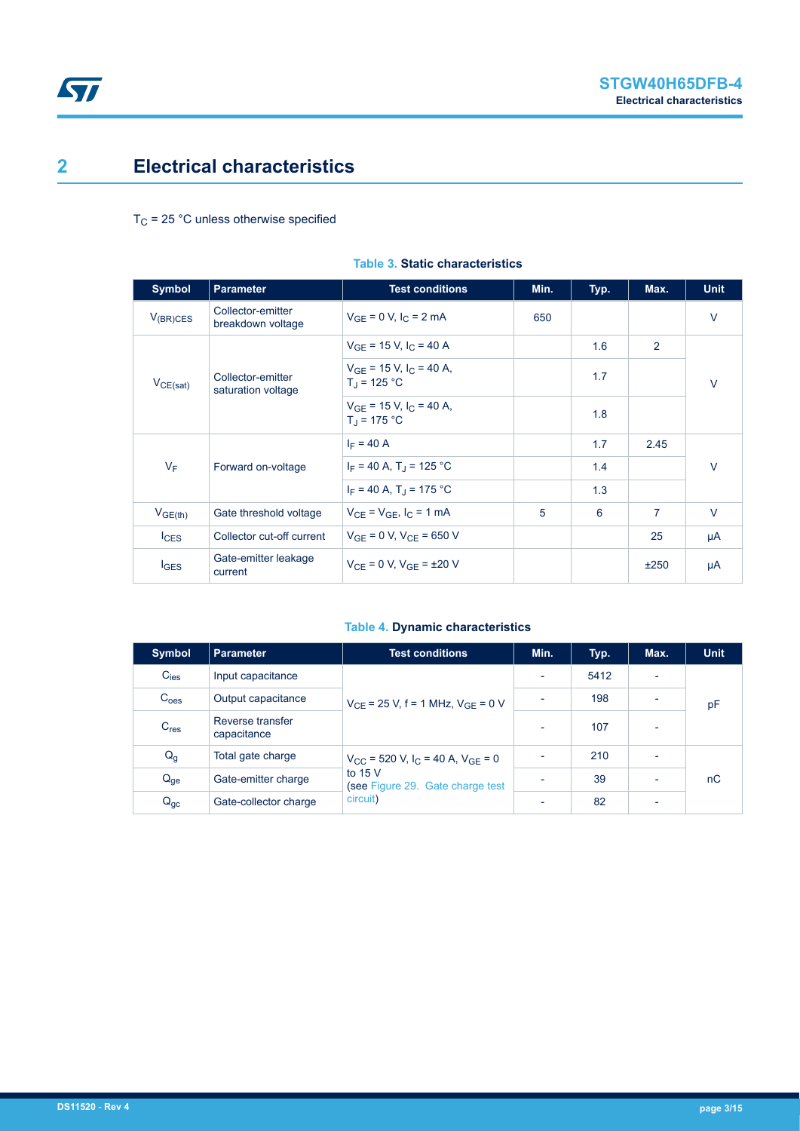## <span id="page-2-0"></span>**2 Electrical characteristics**

 $T_C$  = 25 °C unless otherwise specified

| <b>Symbol</b>       | <b>Parameter</b>                        | <b>Test conditions</b>                                          | Min. | Typ. | Max. | <b>Unit</b> |
|---------------------|-----------------------------------------|-----------------------------------------------------------------|------|------|------|-------------|
| $V_{(BR)CES}$       | Collector-emitter<br>breakdown voltage  | $V_{GF} = 0 V, I_C = 2 mA$                                      | 650  |      |      | $\vee$      |
|                     |                                         | $V_{GF}$ = 15 V, I <sub>C</sub> = 40 A                          |      | 1.6  | 2    |             |
| $V_{CE(sat)}$       | Collector-emitter<br>saturation voltage | $V_{GF}$ = 15 V, I <sub>C</sub> = 40 A,<br>$T_{\rm d}$ = 125 °C |      | 1.7  |      | $\vee$      |
|                     |                                         | $V_{GF}$ = 15 V, I <sub>C</sub> = 40 A,<br>$T_{\rm d}$ = 175 °C |      | 1.8  |      |             |
|                     | Forward on-voltage                      | $I_F = 40 A$                                                    |      | 1.7  | 2.45 | $\vee$      |
| $V_F$               |                                         | $I_F = 40 A$ , T <sub>J</sub> = 125 °C                          |      | 1.4  |      |             |
|                     |                                         | $I_F = 40 A$ , T <sub>J</sub> = 175 °C                          |      | 1.3  |      |             |
| V <sub>GE(th)</sub> | Gate threshold voltage                  | $V_{CF} = V_{GF}$ , $I_C = 1$ mA                                | 5    | 6    | 7    | $\vee$      |
| lc <sub>ES</sub>    | Collector cut-off current               | $V_{GF} = 0 V$ , $V_{CF} = 650 V$                               |      |      | 25   | μA          |
| $I_{\text{GES}}$    | Gate-emitter leakage<br>current         | $V_{CF} = 0 V$ , $V_{GF} = \pm 20 V$                            |      |      | ±250 | μA          |

#### **Table 3. Static characteristics**

#### **Table 4. Dynamic characteristics**

| Symbol           | Parameter                       | <b>Test conditions</b>                                                                                                   | Min.                     | Typ. | Max.                     | <b>Unit</b> |
|------------------|---------------------------------|--------------------------------------------------------------------------------------------------------------------------|--------------------------|------|--------------------------|-------------|
| $C_{\text{ies}}$ | Input capacitance               | $V_{CF}$ = 25 V, f = 1 MHz, $V_{GF}$ = 0 V                                                                               | $\overline{\phantom{a}}$ | 5412 |                          |             |
| C <sub>oes</sub> | Output capacitance              |                                                                                                                          | ٠                        | 198  | $\overline{\phantom{0}}$ | pF          |
| C <sub>res</sub> | Reverse transfer<br>capacitance |                                                                                                                          | $\overline{\phantom{a}}$ | 107  | $\overline{\phantom{0}}$ |             |
| $Q_g$            | Total gate charge               | $V_{CC}$ = 520 V, I <sub>C</sub> = 40 A, V <sub>GE</sub> = 0<br>to $15V$<br>(see Figure 29. Gate charge test<br>circuit) | $\blacksquare$           | 210  | ٠                        |             |
| $Q_{ge}$         | Gate-emitter charge             |                                                                                                                          | $\overline{\phantom{a}}$ | 39   | $\overline{\phantom{0}}$ | nC          |
| $Q_{gc}$         | Gate-collector charge           |                                                                                                                          | $\overline{\phantom{0}}$ | 82   | $\overline{\phantom{0}}$ |             |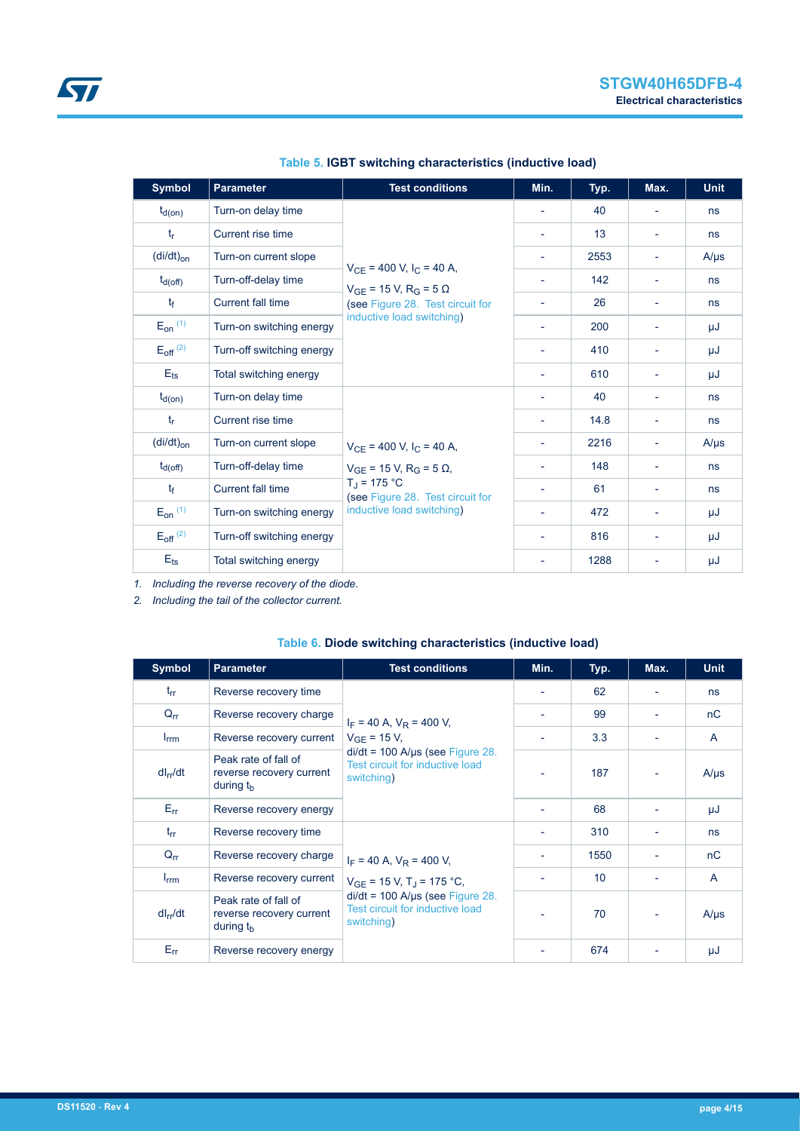<span id="page-3-0"></span>

| <b>Symbol</b>            | <b>Parameter</b>          | <b>Test conditions</b>                                                                   | Min.                     | Typ. | Max.                     | <b>Unit</b> |
|--------------------------|---------------------------|------------------------------------------------------------------------------------------|--------------------------|------|--------------------------|-------------|
| $t_{d(on)}$              | Turn-on delay time        |                                                                                          | $\overline{\phantom{a}}$ | 40   | $\overline{\phantom{a}}$ | ns          |
| $t_{r}$                  | Current rise time         |                                                                                          | $\overline{\phantom{a}}$ | 13   | ٠                        | ns          |
| $(di/dt)_{on}$           | Turn-on current slope     |                                                                                          | $\overline{\phantom{a}}$ | 2553 | $\overline{\phantom{a}}$ | $A/\mu s$   |
| $t_{d(off)}$             | Turn-off-delay time       | $V_{CE}$ = 400 V, I <sub>C</sub> = 40 A,<br>$V_{GE}$ = 15 V, R <sub>G</sub> = 5 $\Omega$ | ٠                        | 142  | ٠                        | ns          |
| t <sub>f</sub>           | Current fall time         | (see Figure 28. Test circuit for                                                         | $\overline{\phantom{a}}$ | 26   | $\overline{\phantom{a}}$ | ns          |
| $E_{on}$ (1)             | Turn-on switching energy  | inductive load switching)                                                                |                          | 200  | $\overline{\phantom{0}}$ | μJ          |
| $E_{off}$ <sup>(2)</sup> | Turn-off switching energy |                                                                                          | $\overline{\phantom{a}}$ | 410  | $\overline{\phantom{a}}$ | μJ          |
| $E_{ts}$                 | Total switching energy    |                                                                                          | ٠                        | 610  | -                        | μJ          |
| $t_{d(on)}$              | Turn-on delay time        |                                                                                          | $\overline{\phantom{a}}$ | 40   | $\overline{\phantom{a}}$ | ns          |
| $t_{\sf r}$              | Current rise time         |                                                                                          | $\overline{\phantom{a}}$ | 14.8 | $\overline{\phantom{a}}$ | ns          |
| $(di/dt)_{on}$           | Turn-on current slope     | $V_{CE}$ = 400 V, I <sub>C</sub> = 40 A,                                                 | $\overline{\phantom{a}}$ | 2216 | $\overline{\phantom{a}}$ | $A/\mu s$   |
| $t_{d(off)}$             | Turn-off-delay time       | $V_{GE}$ = 15 V, R <sub>G</sub> = 5 $\Omega$ ,                                           | ۰                        | 148  | ٠                        | ns          |
| t <sub>f</sub>           | Current fall time         | $T_{\rm J}$ = 175 °C<br>(see Figure 28. Test circuit for                                 | ٠                        | 61   | $\overline{\phantom{a}}$ | ns          |
| $E_{on}$ (1)             | Turn-on switching energy  | inductive load switching)                                                                |                          | 472  | $\overline{\phantom{0}}$ | μJ          |
| $E_{off}$ <sup>(2)</sup> | Turn-off switching energy |                                                                                          | $\overline{\phantom{a}}$ | 816  | -                        | μJ          |
| $E_{\text{ts}}$          | Total switching energy    |                                                                                          |                          | 1288 |                          | μJ          |

**Table 5. IGBT switching characteristics (inductive load)**

*1. Including the reverse recovery of the diode.*

*2. Including the tail of the collector current.*

| <b>Symbol</b>    | <b>Parameter</b>                                                | <b>Test conditions</b>                                                                                         | Min. | Typ.            | Max. | <b>Unit</b> |
|------------------|-----------------------------------------------------------------|----------------------------------------------------------------------------------------------------------------|------|-----------------|------|-------------|
| $t_{rr}$         | Reverse recovery time                                           |                                                                                                                |      | 62              |      | ns          |
| $Q_{rr}$         | Reverse recovery charge                                         | $I_F$ = 40 A, $V_R$ = 400 V,                                                                                   |      | 99              |      | nC          |
| $I_{\text{rrm}}$ | Reverse recovery current                                        | $V_{GF}$ = 15 V,<br>$di/dt = 100$ A/µs (see Figure 28.<br><b>Test circuit for inductive load</b><br>switching) |      | 3.3             |      | A           |
| $dl_{rr}/dt$     | Peak rate of fall of<br>reverse recovery current<br>during $th$ |                                                                                                                |      | 187             |      | $A/\mu s$   |
| $E_{rr}$         | Reverse recovery energy                                         |                                                                                                                |      | 68              |      | μJ          |
| $t_{rr}$         | Reverse recovery time                                           |                                                                                                                |      | 310             |      | ns          |
| $Q_{rr}$         | Reverse recovery charge                                         | $I_F = 40$ A, $V_R = 400$ V,                                                                                   |      | 1550            |      | nC          |
| $I_{\text{rrm}}$ | Reverse recovery current                                        | $V_{GE}$ = 15 V, T <sub>J</sub> = 175 °C,                                                                      |      | 10 <sup>1</sup> |      | A           |
| $dl_{rr}/dt$     | Peak rate of fall of<br>reverse recovery current<br>during $tb$ | $di/dt = 100$ A/ $\mu$ s (see Figure 28.<br><b>Test circuit for inductive load</b><br>switching)               |      | 70              |      | $A/\mu s$   |
| $E_{rr}$         | Reverse recovery energy                                         |                                                                                                                |      | 674             |      | μJ          |

#### **Table 6. Diode switching characteristics (inductive load)**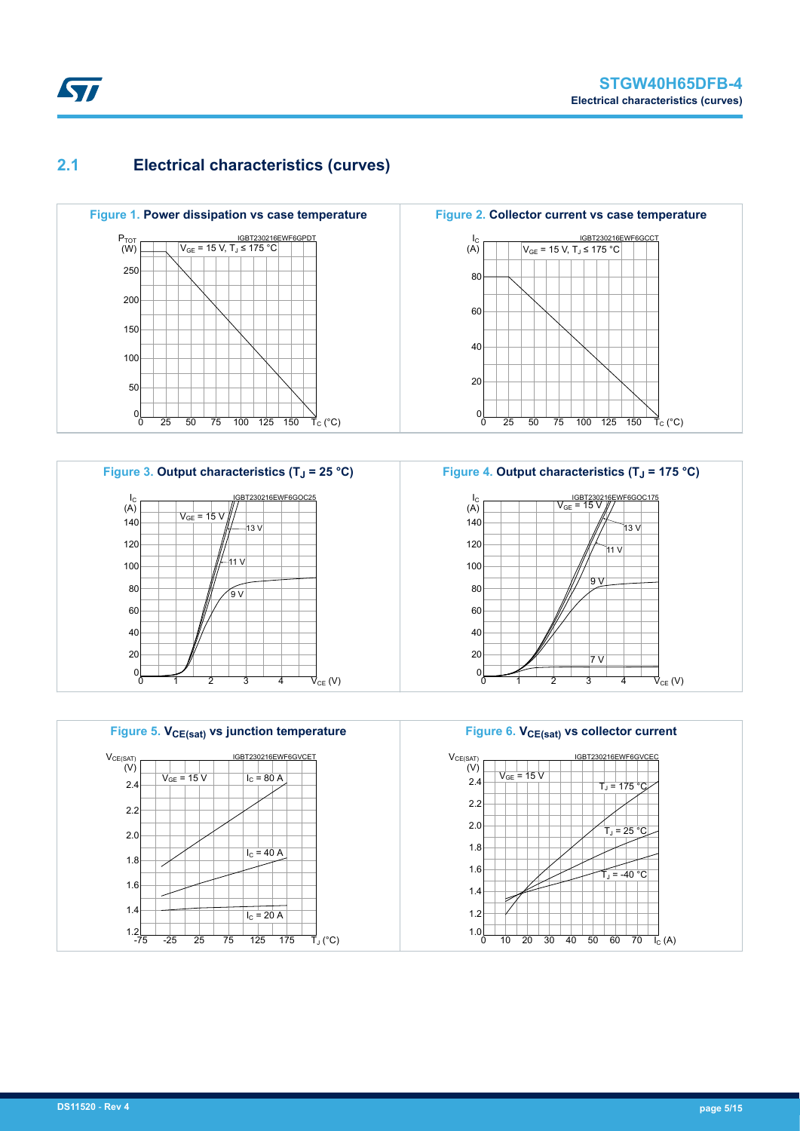### **2.1 Electrical characteristics (curves)**











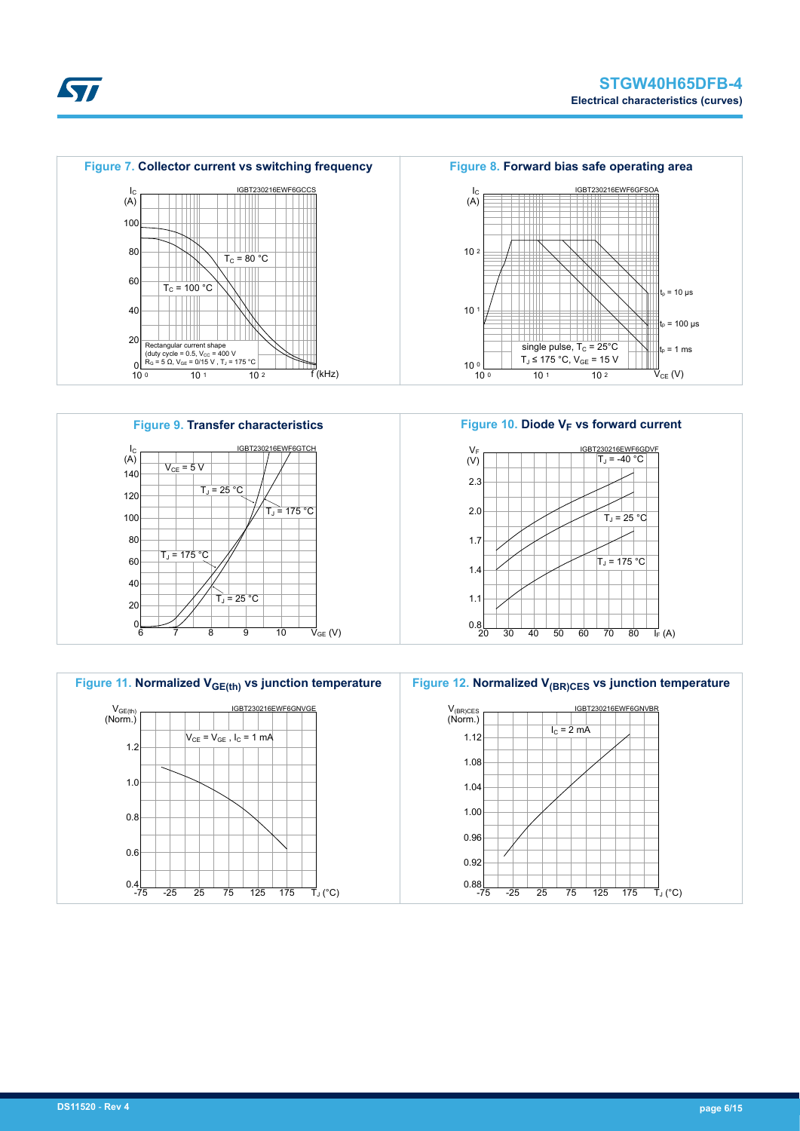









**STI**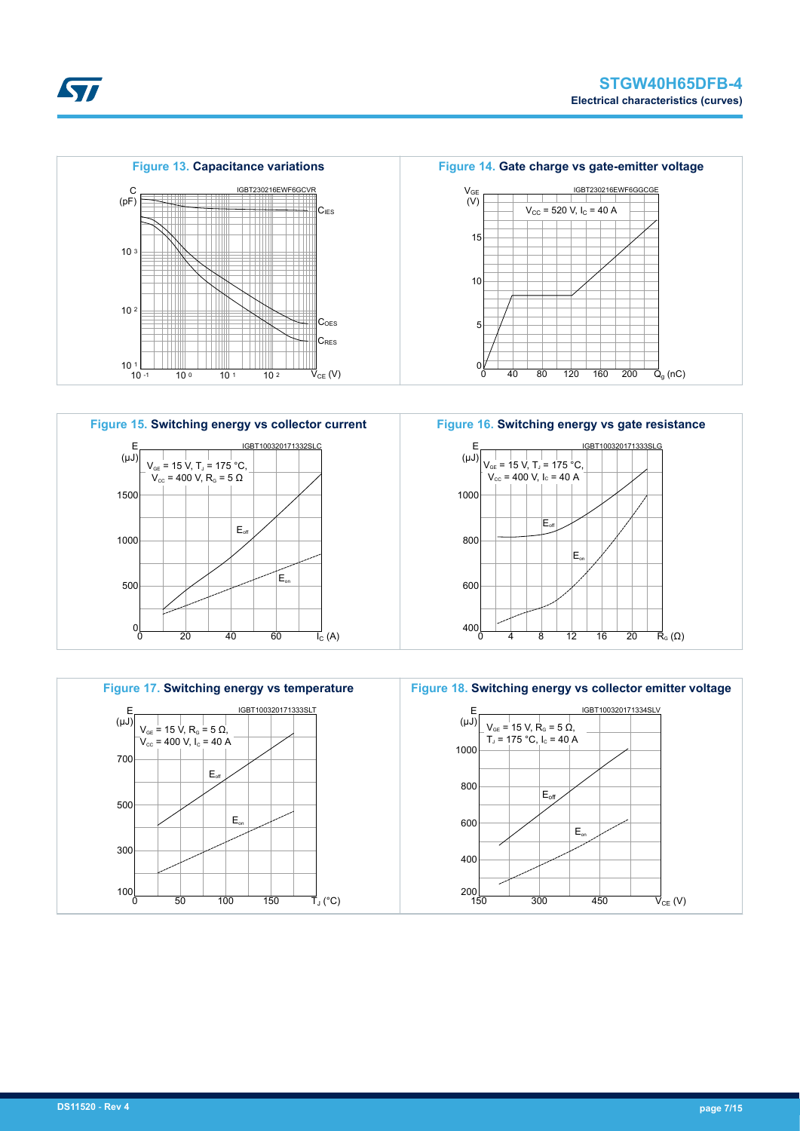





*EAL*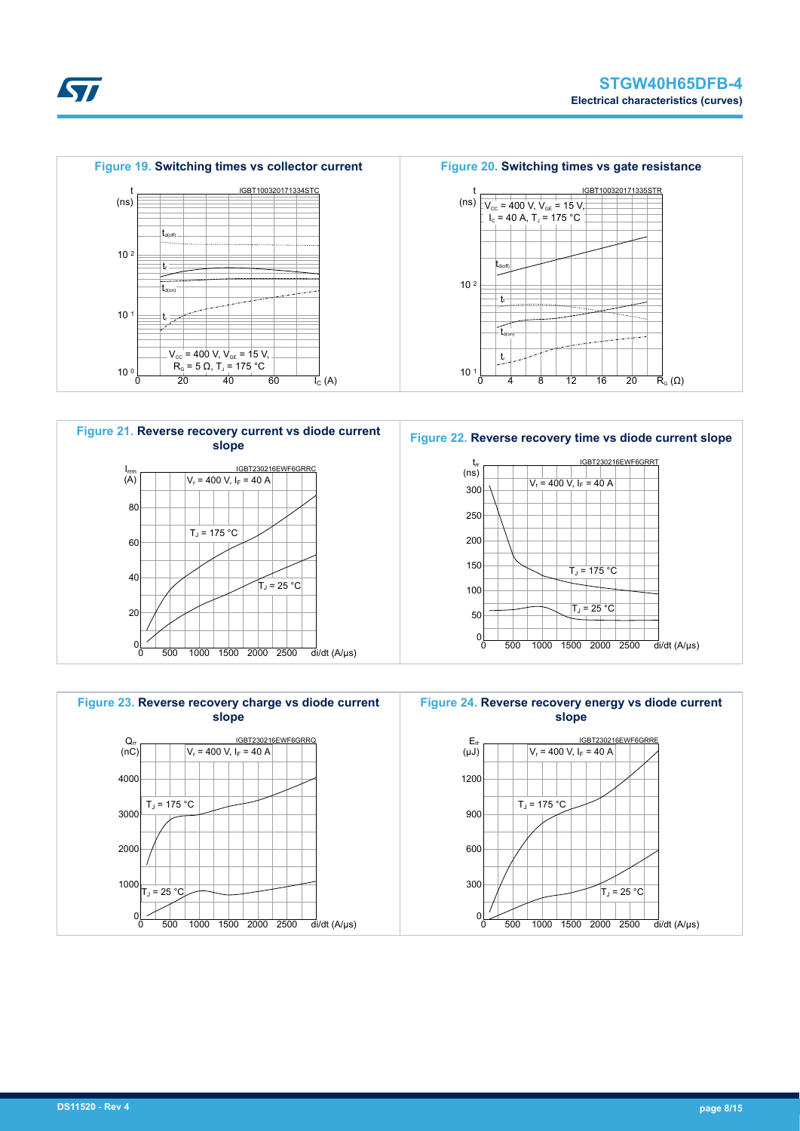

4000

 $\frac{\mathsf{Q}_{\mathsf{rr}}}{\mathsf{(nC)}}$ 

**Kyr** 

3000

 $T_J = 175 °C$ 

 $T_J = 25 °C$ 

2000

1000

 $\frac{1}{2}$ 





 $\overline{I_{C}}$  (A)



 $20 \t 40 \t 60$ 

**Figure 23. Reverse recovery charge vs diode current slope**

 $V_r = 400 V$ ,  $I_F = 40 A$ 

0 500 1000 1500 2000 2500 di/dt (A/µs)

IGBT230216EWF6GRRQ





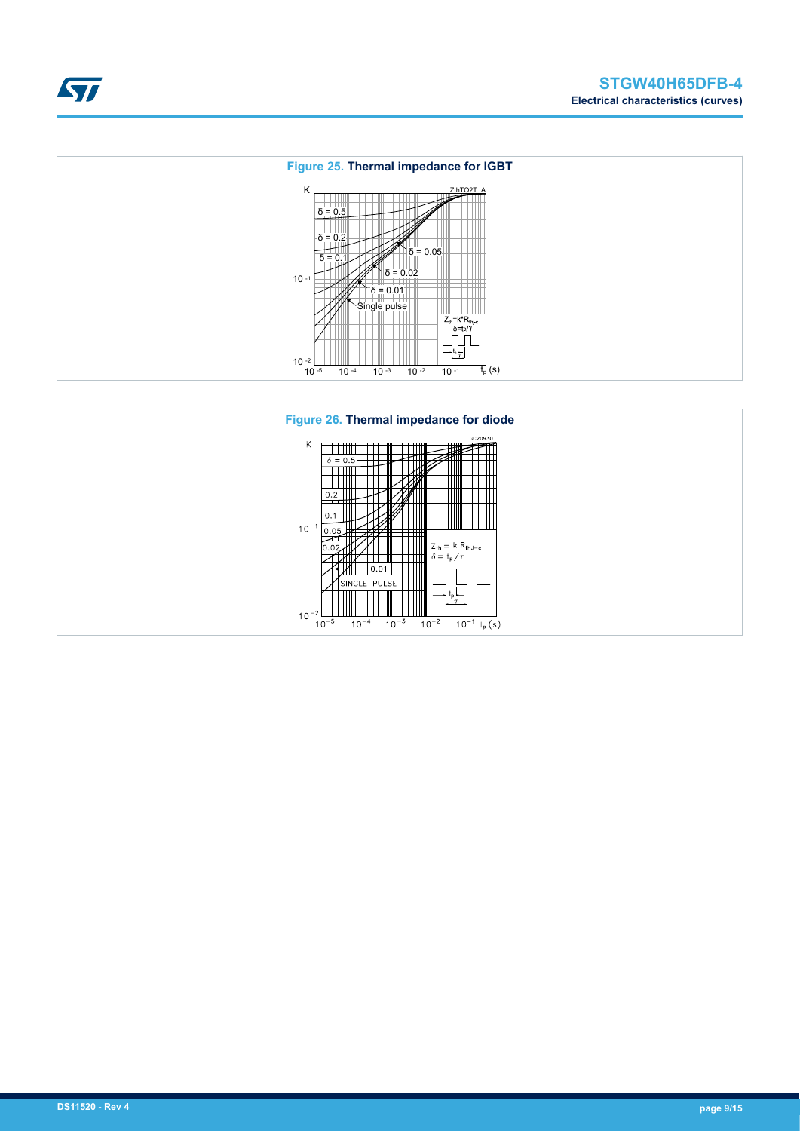



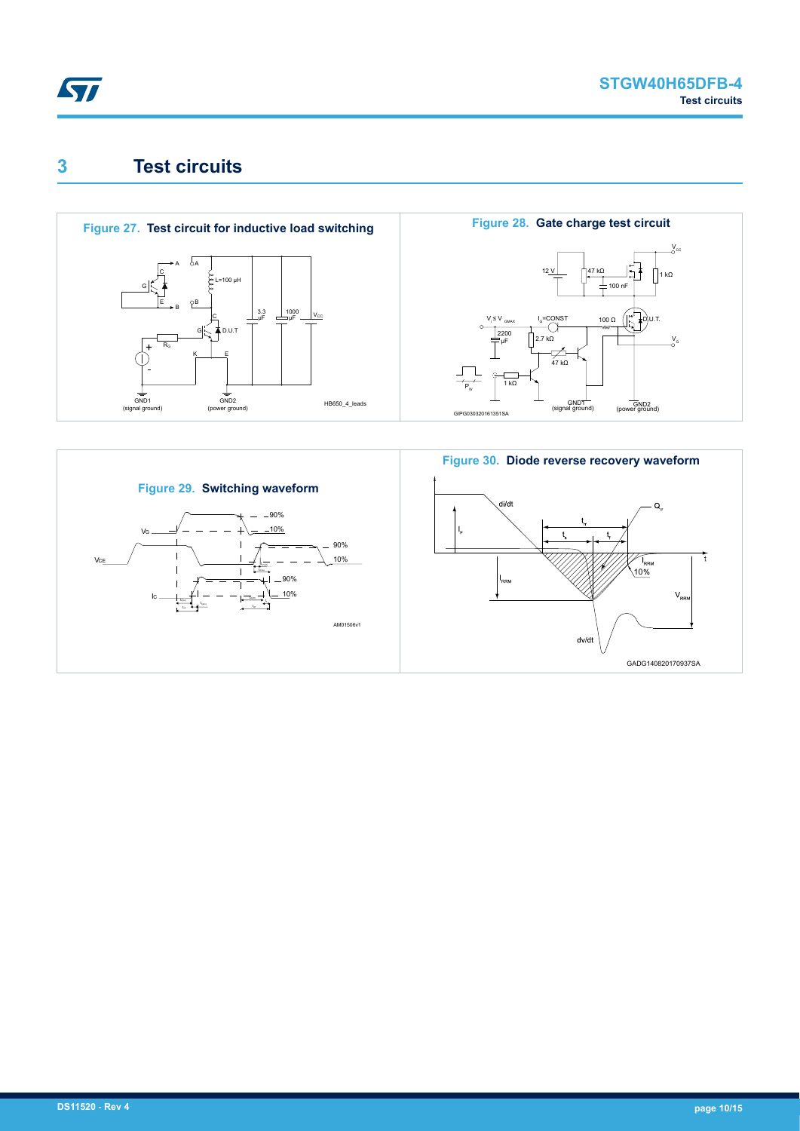<span id="page-9-0"></span>

# **3 Test circuits**



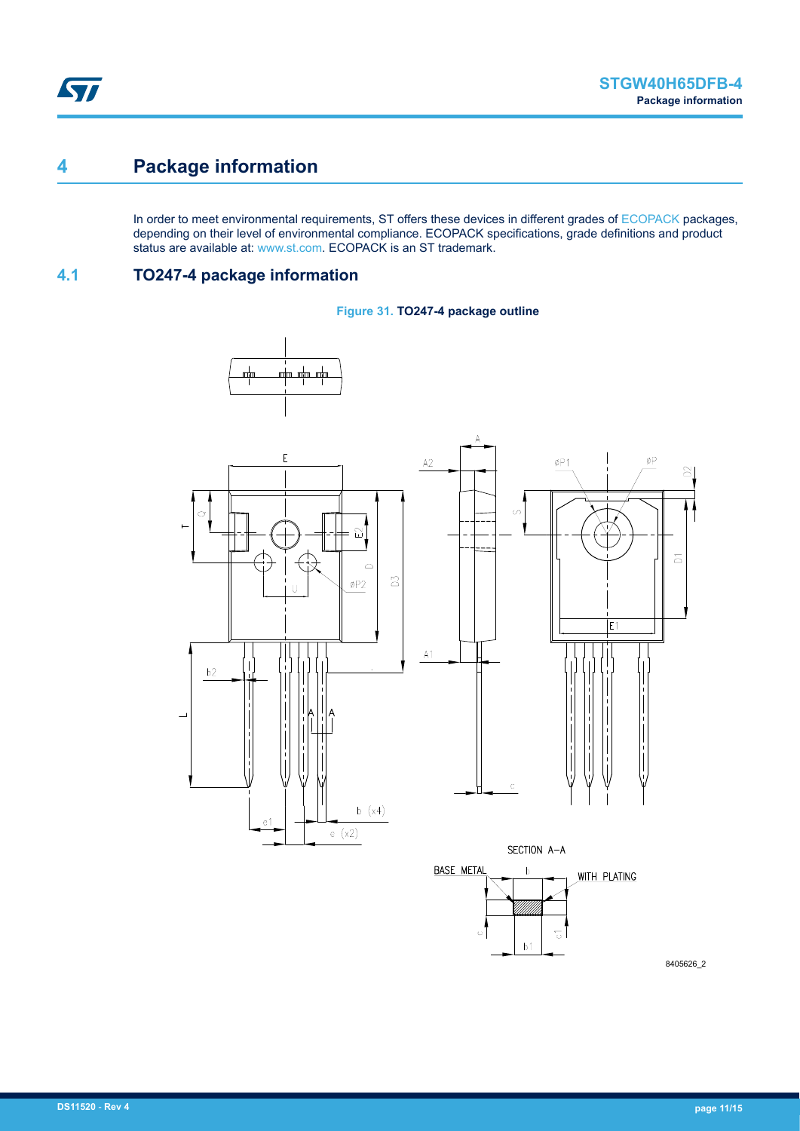### <span id="page-10-0"></span>**4 Package information**

In order to meet environmental requirements, ST offers these devices in different grades of [ECOPACK](https://www.st.com/ecopack) packages, depending on their level of environmental compliance. ECOPACK specifications, grade definitions and product status are available at: [www.st.com.](http://www.st.com) ECOPACK is an ST trademark.

### **4.1 TO247-4 package information**





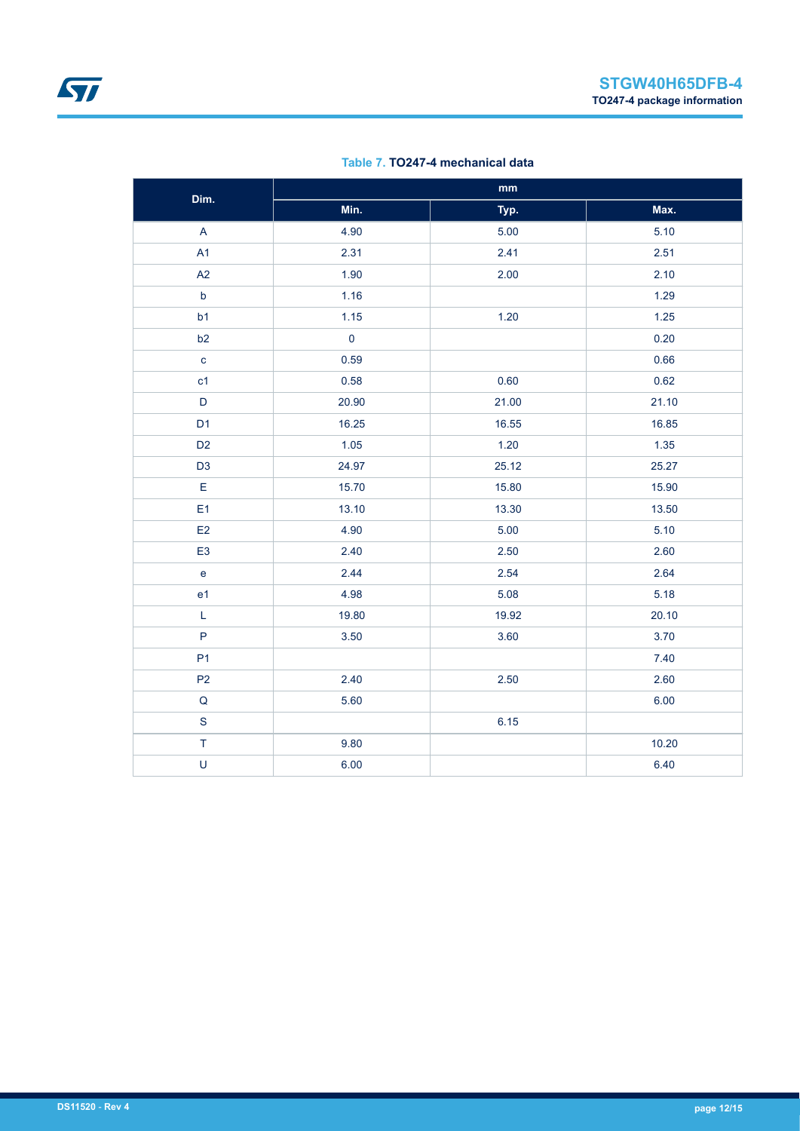| Dim.                      | $\mathbf{mm}$ |       |       |  |  |
|---------------------------|---------------|-------|-------|--|--|
|                           | Min.          | Typ.  | Max.  |  |  |
| $\boldsymbol{\mathsf{A}}$ | 4.90          | 5.00  | 5.10  |  |  |
| A1                        | 2.31          | 2.41  | 2.51  |  |  |
| A2                        | 1.90          | 2.00  | 2.10  |  |  |
| $\mathsf b$               | 1.16          |       | 1.29  |  |  |
| b1                        | 1.15          | 1.20  | 1.25  |  |  |
| b2                        | $\pmb{0}$     |       | 0.20  |  |  |
| $\mathbf{c}$              | 0.59          |       | 0.66  |  |  |
| c1                        | 0.58          | 0.60  | 0.62  |  |  |
| $\mathsf D$               | 20.90         | 21.00 | 21.10 |  |  |
| D <sub>1</sub>            | 16.25         | 16.55 | 16.85 |  |  |
| D <sub>2</sub>            | 1.05          | 1.20  | 1.35  |  |  |
| D <sub>3</sub>            | 24.97         | 25.12 | 25.27 |  |  |
| E                         | 15.70         | 15.80 | 15.90 |  |  |
| E1                        | 13.10         | 13.30 | 13.50 |  |  |
| E2                        | 4.90          | 5.00  | 5.10  |  |  |
| E <sub>3</sub>            | 2.40          | 2.50  | 2.60  |  |  |
| $\mathbf{e}$              | 2.44          | 2.54  | 2.64  |  |  |
| e <sub>1</sub>            | 4.98          | 5.08  | 5.18  |  |  |
| $\mathsf L$               | 19.80         | 19.92 | 20.10 |  |  |
| $\mathsf{P}$              | 3.50          | 3.60  | 3.70  |  |  |
| P <sub>1</sub>            |               |       | 7.40  |  |  |
| P <sub>2</sub>            | 2.40          | 2.50  | 2.60  |  |  |
| Q                         | 5.60          |       | 6.00  |  |  |
| $\mathbf S$               |               | 6.15  |       |  |  |
| $\top$                    | 9.80          |       | 10.20 |  |  |
| $\cup$                    | 6.00          |       | 6.40  |  |  |

#### **Table 7. TO247-4 mechanical data**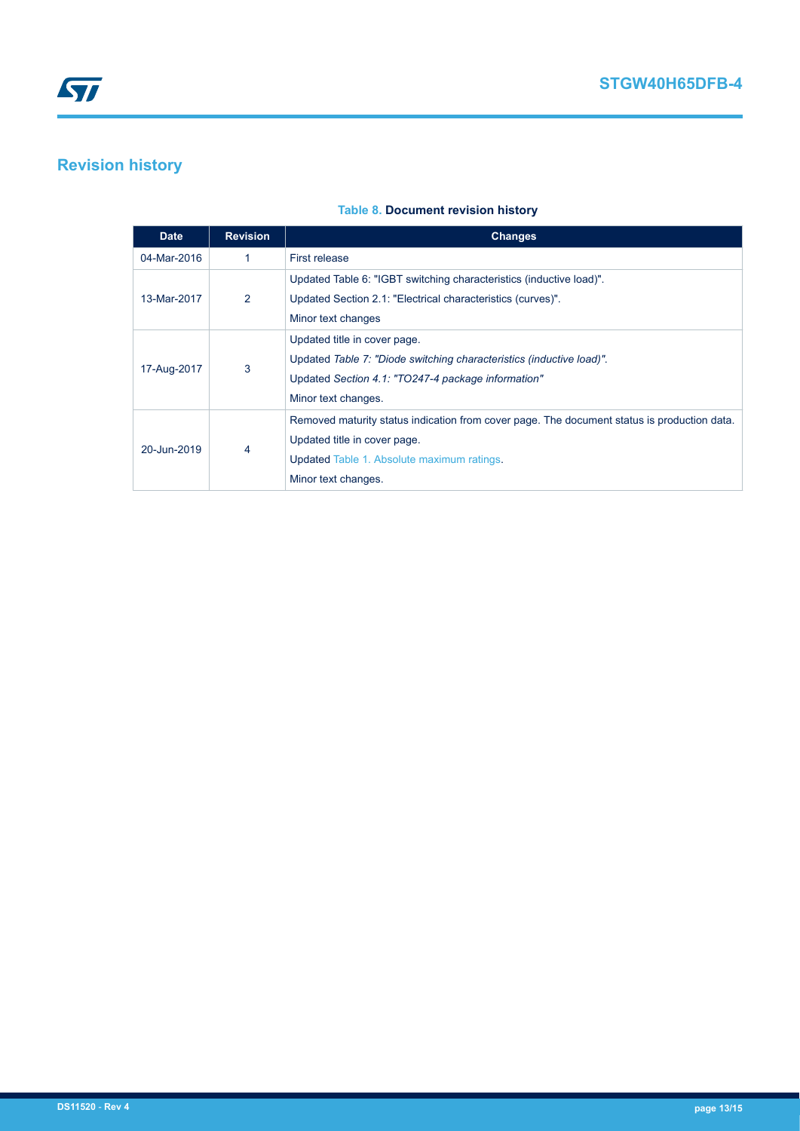## <span id="page-12-0"></span>**Revision history**

#### **Table 8. Document revision history**

| <b>Date</b> | <b>Revision</b> | <b>Changes</b>                                                                              |
|-------------|-----------------|---------------------------------------------------------------------------------------------|
| 04-Mar-2016 | 1               | <b>First release</b>                                                                        |
|             |                 | Updated Table 6: "IGBT switching characteristics (inductive load)".                         |
| 13-Mar-2017 | 2               | Updated Section 2.1: "Electrical characteristics (curves)".                                 |
|             |                 | Minor text changes                                                                          |
|             | 3               | Updated title in cover page.                                                                |
|             |                 | Updated Table 7: "Diode switching characteristics (inductive load)"                         |
| 17-Aug-2017 |                 | Updated Section 4.1: "TO247-4 package information"                                          |
|             |                 | Minor text changes.                                                                         |
|             |                 | Removed maturity status indication from cover page. The document status is production data. |
| 20-Jun-2019 |                 | Updated title in cover page.                                                                |
|             | 4               | <b>Updated Table 1. Absolute maximum ratings.</b>                                           |
|             |                 | Minor text changes.                                                                         |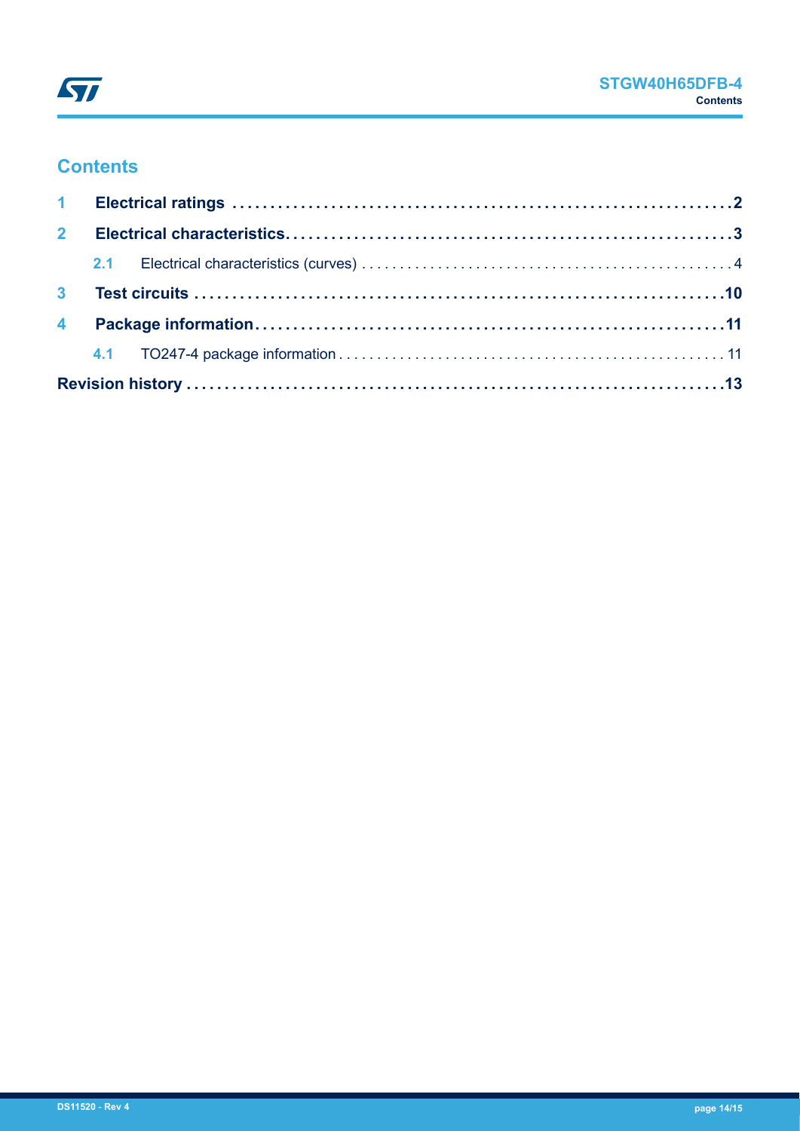

### **Contents**

| $2^{\circ}$ |  |  |  |  |  |  |
|-------------|--|--|--|--|--|--|
|             |  |  |  |  |  |  |
|             |  |  |  |  |  |  |
|             |  |  |  |  |  |  |
|             |  |  |  |  |  |  |
|             |  |  |  |  |  |  |